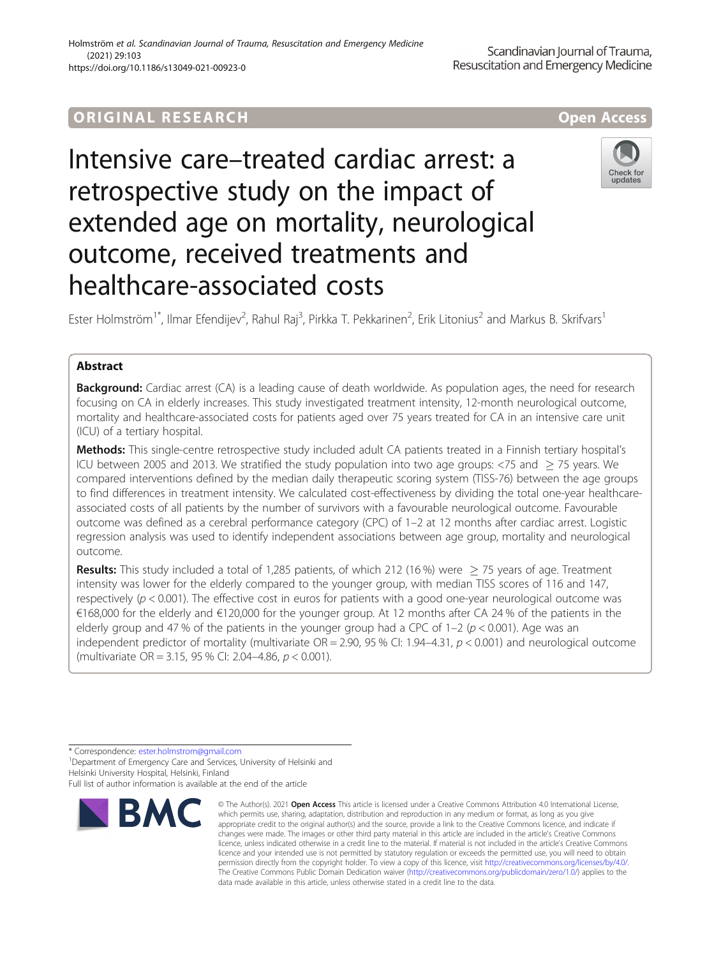## ORIGINA L R E S EA RCH Open Access



# Intensive care–treated cardiac arrest: a retrospective study on the impact of extended age on mortality, neurological outcome, received treatments and healthcare-associated costs



Ester Holmström<sup>1\*</sup>, Ilmar Efendijev<sup>2</sup>, Rahul Raj<sup>3</sup>, Pirkka T. Pekkarinen<sup>2</sup>, Erik Litonius<sup>2</sup> and Markus B. Skrifvars<sup>1</sup>

## Abstract

**Background:** Cardiac arrest (CA) is a leading cause of death worldwide. As population ages, the need for research focusing on CA in elderly increases. This study investigated treatment intensity, 12-month neurological outcome, mortality and healthcare-associated costs for patients aged over 75 years treated for CA in an intensive care unit (ICU) of a tertiary hospital.

Methods: This single-centre retrospective study included adult CA patients treated in a Finnish tertiary hospital's ICU between 2005 and 2013. We stratified the study population into two age groups:  $\langle 75 \rangle$  and  $\langle 75 \rangle$  years. We compared interventions defined by the median daily therapeutic scoring system (TISS-76) between the age groups to find differences in treatment intensity. We calculated cost-effectiveness by dividing the total one-year healthcareassociated costs of all patients by the number of survivors with a favourable neurological outcome. Favourable outcome was defined as a cerebral performance category (CPC) of 1–2 at 12 months after cardiac arrest. Logistic regression analysis was used to identify independent associations between age group, mortality and neurological outcome.

**Results:** This study included a total of 1,285 patients, of which 212 (16 %) were  $>$  75 years of age. Treatment intensity was lower for the elderly compared to the younger group, with median TISS scores of 116 and 147, respectively ( $p < 0.001$ ). The effective cost in euros for patients with a good one-year neurological outcome was €168,000 for the elderly and €120,000 for the younger group. At 12 months after CA 24 % of the patients in the elderly group and 47 % of the patients in the younger group had a CPC of  $1-2$  ( $p < 0.001$ ). Age was an independent predictor of mortality (multivariate  $OR = 2.90$ , 95 % CI: 1.94-4.31,  $p < 0.001$ ) and neurological outcome (multivariate OR = 3.15, 95 % CI: 2.04–4.86, p < 0.001).

\* Correspondence: [ester.holmstrom@gmail.com](mailto:ester.holmstrom@gmail.com) <sup>1</sup>

<sup>1</sup> Department of Emergency Care and Services, University of Helsinki and Helsinki University Hospital, Helsinki, Finland

Full list of author information is available at the end of the article



<sup>©</sup> The Author(s), 2021 **Open Access** This article is licensed under a Creative Commons Attribution 4.0 International License, which permits use, sharing, adaptation, distribution and reproduction in any medium or format, as long as you give appropriate credit to the original author(s) and the source, provide a link to the Creative Commons licence, and indicate if changes were made. The images or other third party material in this article are included in the article's Creative Commons licence, unless indicated otherwise in a credit line to the material. If material is not included in the article's Creative Commons licence and your intended use is not permitted by statutory regulation or exceeds the permitted use, you will need to obtain permission directly from the copyright holder. To view a copy of this licence, visit [http://creativecommons.org/licenses/by/4.0/.](http://creativecommons.org/licenses/by/4.0/) The Creative Commons Public Domain Dedication waiver [\(http://creativecommons.org/publicdomain/zero/1.0/](http://creativecommons.org/publicdomain/zero/1.0/)) applies to the data made available in this article, unless otherwise stated in a credit line to the data.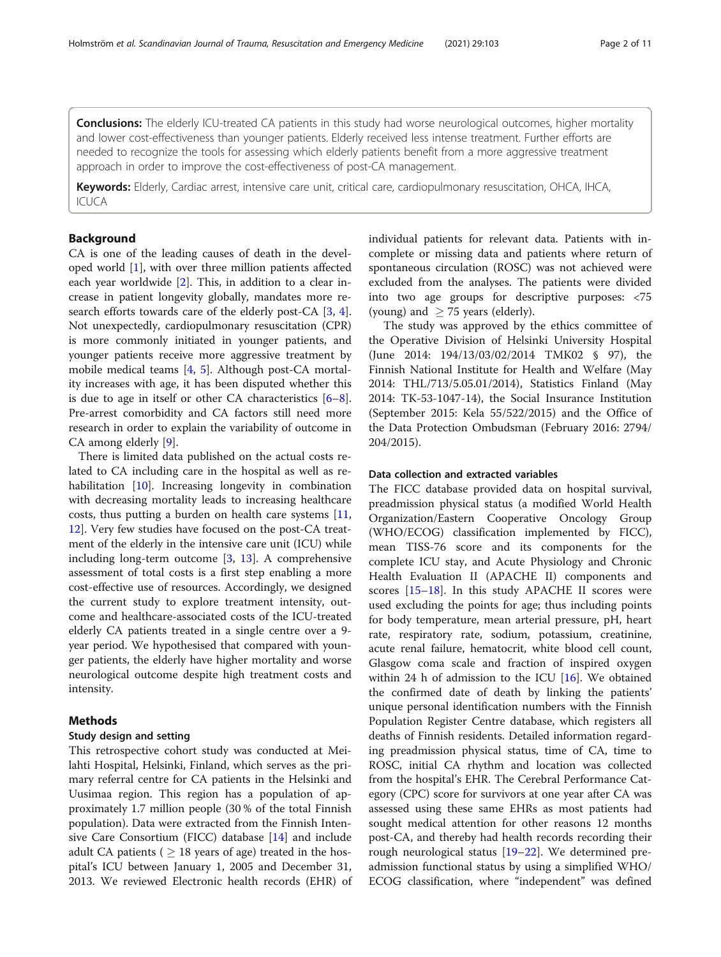**Conclusions:** The elderly ICU-treated CA patients in this study had worse neurological outcomes, higher mortality and lower cost-effectiveness than younger patients. Elderly received less intense treatment. Further efforts are needed to recognize the tools for assessing which elderly patients benefit from a more aggressive treatment approach in order to improve the cost-effectiveness of post-CA management.

Keywords: Elderly, Cardiac arrest, intensive care unit, critical care, cardiopulmonary resuscitation, OHCA, IHCA,  $|C|$  $|C$  $A$ 

## Background

CA is one of the leading causes of death in the developed world [\[1](#page-9-0)], with over three million patients affected each year worldwide [[2\]](#page-9-0). This, in addition to a clear increase in patient longevity globally, mandates more research efforts towards care of the elderly post-CA [[3,](#page-9-0) [4](#page-9-0)]. Not unexpectedly, cardiopulmonary resuscitation (CPR) is more commonly initiated in younger patients, and younger patients receive more aggressive treatment by mobile medical teams [[4,](#page-9-0) [5](#page-9-0)]. Although post-CA mortality increases with age, it has been disputed whether this is due to age in itself or other CA characteristics [\[6](#page-9-0)–[8](#page-9-0)]. Pre-arrest comorbidity and CA factors still need more research in order to explain the variability of outcome in CA among elderly [\[9](#page-9-0)].

There is limited data published on the actual costs related to CA including care in the hospital as well as rehabilitation [\[10](#page-9-0)]. Increasing longevity in combination with decreasing mortality leads to increasing healthcare costs, thus putting a burden on health care systems [[11](#page-9-0), [12\]](#page-9-0). Very few studies have focused on the post-CA treatment of the elderly in the intensive care unit (ICU) while including long-term outcome [\[3](#page-9-0), [13](#page-9-0)]. A comprehensive assessment of total costs is a first step enabling a more cost-effective use of resources. Accordingly, we designed the current study to explore treatment intensity, outcome and healthcare-associated costs of the ICU-treated elderly CA patients treated in a single centre over a 9 year period. We hypothesised that compared with younger patients, the elderly have higher mortality and worse neurological outcome despite high treatment costs and intensity.

## Methods

## Study design and setting

This retrospective cohort study was conducted at Meilahti Hospital, Helsinki, Finland, which serves as the primary referral centre for CA patients in the Helsinki and Uusimaa region. This region has a population of approximately 1.7 million people (30 % of the total Finnish population). Data were extracted from the Finnish Intensive Care Consortium (FICC) database [\[14\]](#page-9-0) and include adult CA patients ( $\geq$  18 years of age) treated in the hospital's ICU between January 1, 2005 and December 31, 2013. We reviewed Electronic health records (EHR) of individual patients for relevant data. Patients with incomplete or missing data and patients where return of spontaneous circulation (ROSC) was not achieved were excluded from the analyses. The patients were divided into two age groups for descriptive purposes: <75 (young) and  $\geq$  75 years (elderly).

The study was approved by the ethics committee of the Operative Division of Helsinki University Hospital (June 2014: 194/13/03/02/2014 TMK02 § 97), the Finnish National Institute for Health and Welfare (May 2014: THL/713/5.05.01/2014), Statistics Finland (May 2014: TK-53-1047-14), the Social Insurance Institution (September 2015: Kela 55/522/2015) and the Office of the Data Protection Ombudsman (February 2016: 2794/ 204/2015).

#### Data collection and extracted variables

The FICC database provided data on hospital survival, preadmission physical status (a modified World Health Organization/Eastern Cooperative Oncology Group (WHO/ECOG) classification implemented by FICC), mean TISS-76 score and its components for the complete ICU stay, and Acute Physiology and Chronic Health Evaluation II (APACHE II) components and scores [[15](#page-9-0)–[18\]](#page-9-0). In this study APACHE II scores were used excluding the points for age; thus including points for body temperature, mean arterial pressure, pH, heart rate, respiratory rate, sodium, potassium, creatinine, acute renal failure, hematocrit, white blood cell count, Glasgow coma scale and fraction of inspired oxygen within 24 h of admission to the ICU  $[16]$  $[16]$ . We obtained the confirmed date of death by linking the patients' unique personal identification numbers with the Finnish Population Register Centre database, which registers all deaths of Finnish residents. Detailed information regarding preadmission physical status, time of CA, time to ROSC, initial CA rhythm and location was collected from the hospital's EHR. The Cerebral Performance Category (CPC) score for survivors at one year after CA was assessed using these same EHRs as most patients had sought medical attention for other reasons 12 months post-CA, and thereby had health records recording their rough neurological status [[19](#page-9-0)–[22](#page-9-0)]. We determined preadmission functional status by using a simplified WHO/ ECOG classification, where "independent" was defined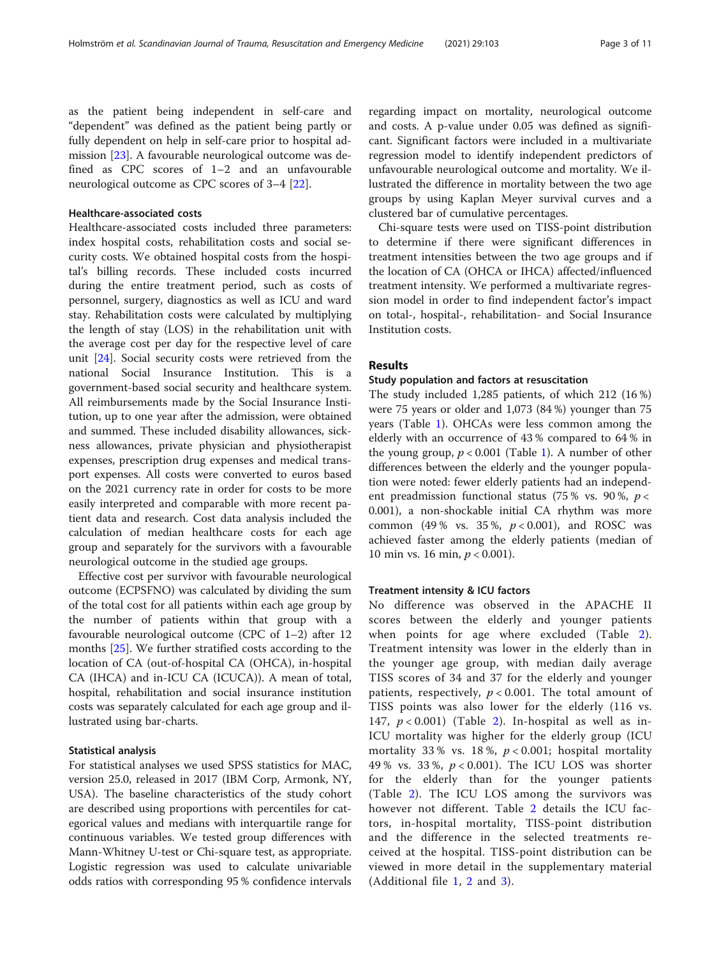as the patient being independent in self-care and "dependent" was defined as the patient being partly or fully dependent on help in self-care prior to hospital admission [\[23](#page-9-0)]. A favourable neurological outcome was defined as CPC scores of 1–2 and an unfavourable neurological outcome as CPC scores of 3–4 [\[22](#page-9-0)].

#### Healthcare-associated costs

Healthcare-associated costs included three parameters: index hospital costs, rehabilitation costs and social security costs. We obtained hospital costs from the hospital's billing records. These included costs incurred during the entire treatment period, such as costs of personnel, surgery, diagnostics as well as ICU and ward stay. Rehabilitation costs were calculated by multiplying the length of stay (LOS) in the rehabilitation unit with the average cost per day for the respective level of care unit [[24\]](#page-9-0). Social security costs were retrieved from the national Social Insurance Institution. This is a government-based social security and healthcare system. All reimbursements made by the Social Insurance Institution, up to one year after the admission, were obtained and summed. These included disability allowances, sickness allowances, private physician and physiotherapist expenses, prescription drug expenses and medical transport expenses. All costs were converted to euros based on the 2021 currency rate in order for costs to be more easily interpreted and comparable with more recent patient data and research. Cost data analysis included the calculation of median healthcare costs for each age group and separately for the survivors with a favourable neurological outcome in the studied age groups.

Effective cost per survivor with favourable neurological outcome (ECPSFNO) was calculated by dividing the sum of the total cost for all patients within each age group by the number of patients within that group with a favourable neurological outcome (CPC of 1–2) after 12 months [[25\]](#page-9-0). We further stratified costs according to the location of CA (out-of-hospital CA (OHCA), in-hospital CA (IHCA) and in-ICU CA (ICUCA)). A mean of total, hospital, rehabilitation and social insurance institution costs was separately calculated for each age group and illustrated using bar-charts.

#### Statistical analysis

For statistical analyses we used SPSS statistics for MAC, version 25.0, released in 2017 (IBM Corp, Armonk, NY, USA). The baseline characteristics of the study cohort are described using proportions with percentiles for categorical values and medians with interquartile range for continuous variables. We tested group differences with Mann-Whitney U-test or Chi-square test, as appropriate. Logistic regression was used to calculate univariable odds ratios with corresponding 95 % confidence intervals regarding impact on mortality, neurological outcome and costs. A p-value under 0.05 was defined as significant. Significant factors were included in a multivariate regression model to identify independent predictors of unfavourable neurological outcome and mortality. We illustrated the difference in mortality between the two age groups by using Kaplan Meyer survival curves and a clustered bar of cumulative percentages.

Chi-square tests were used on TISS-point distribution to determine if there were significant differences in treatment intensities between the two age groups and if the location of CA (OHCA or IHCA) affected/influenced treatment intensity. We performed a multivariate regression model in order to find independent factor's impact on total-, hospital-, rehabilitation- and Social Insurance Institution costs.

## Results

#### Study population and factors at resuscitation

The study included 1,285 patients, of which 212 (16 %) were 75 years or older and 1,073 (84 %) younger than 75 years (Table [1\)](#page-3-0). OHCAs were less common among the elderly with an occurrence of 43 % compared to 64 % in the young group,  $p < 0.001$  (Table [1\)](#page-3-0). A number of other differences between the elderly and the younger population were noted: fewer elderly patients had an independent preadmission functional status (75 % vs. 90 %,  $p <$ 0.001), a non-shockable initial CA rhythm was more common (49% vs. 35%,  $p < 0.001$ ), and ROSC was achieved faster among the elderly patients (median of 10 min vs. 16 min,  $p < 0.001$ ).

#### Treatment intensity & ICU factors

No difference was observed in the APACHE II scores between the elderly and younger patients when points for age where excluded (Table [2](#page-3-0)). Treatment intensity was lower in the elderly than in the younger age group, with median daily average TISS scores of 34 and 37 for the elderly and younger patients, respectively,  $p < 0.001$ . The total amount of TISS points was also lower for the elderly (116 vs. 147,  $p < 0.001$ ) (Table [2](#page-3-0)). In-hospital as well as in-ICU mortality was higher for the elderly group (ICU mortality 33% vs. 18%,  $p < 0.001$ ; hospital mortality 49% vs. 33%,  $p < 0.001$ ). The ICU LOS was shorter for the elderly than for the younger patients (Table [2\)](#page-3-0). The ICU LOS among the survivors was however not different. Table [2](#page-3-0) details the ICU factors, in-hospital mortality, TISS-point distribution and the difference in the selected treatments received at the hospital. TISS-point distribution can be viewed in more detail in the supplementary material (Additional file [1](#page-8-0), [2](#page-8-0) and [3](#page-8-0)).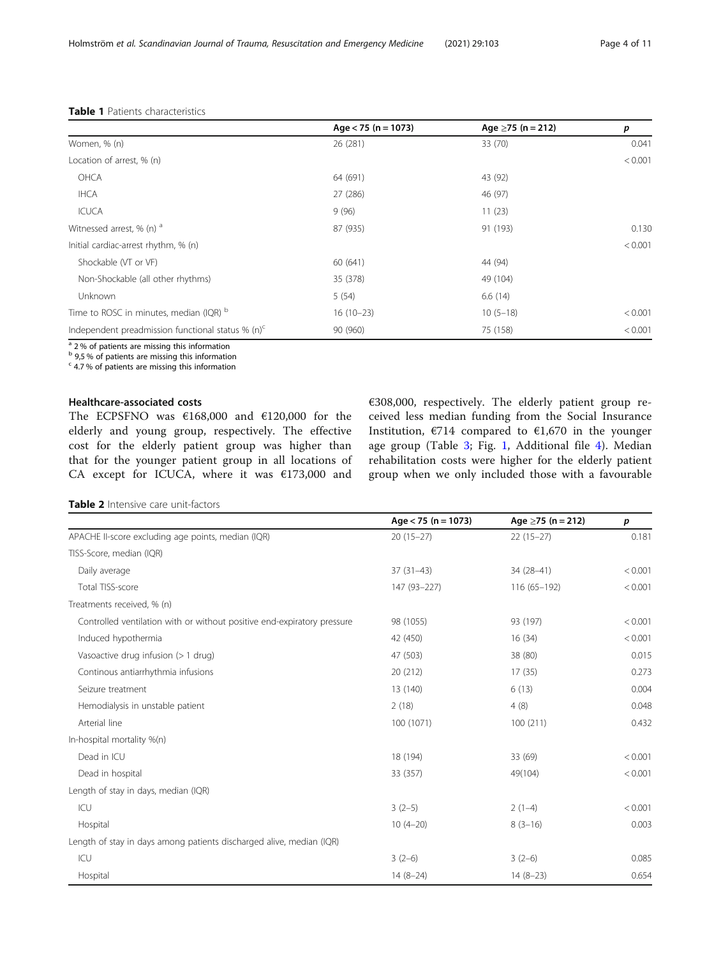|                                                      | Age $<$ 75 (n = 1073) | Age $\geq$ 75 (n = 212) | p       |
|------------------------------------------------------|-----------------------|-------------------------|---------|
| Women, % (n)                                         | 26 (281)              | 33 (70)                 | 0.041   |
| Location of arrest, % (n)                            |                       |                         | < 0.001 |
| OHCA                                                 | 64 (691)              | 43 (92)                 |         |
| <b>IHCA</b>                                          | 27 (286)              | 46 (97)                 |         |
| ICUCA                                                | 9(96)                 | 11(23)                  |         |
| Witnessed arrest, % (n) a                            | 87 (935)              | 91 (193)                | 0.130   |
| Initial cardiac-arrest rhythm, % (n)                 |                       |                         | < 0.001 |
| Shockable (VT or VF)                                 | 60 (641)              | 44 (94)                 |         |
| Non-Shockable (all other rhythms)                    | 35 (378)              | 49 (104)                |         |
| Unknown                                              | 5(54)                 | 6.6(14)                 |         |
| Time to ROSC in minutes, median (IQR) b              | $16(10-23)$           | $10(5-18)$              | < 0.001 |
| Independent preadmission functional status % $(n)^c$ | 90 (960)              | 75 (158)                | < 0.001 |
|                                                      |                       |                         |         |

#### <span id="page-3-0"></span>Table 1 Patients characteristics

<sup>a</sup> 2% of patients are missing this information

 $b$  9,5 % of patients are missing this information

 $c$  4.7% of patients are missing this information

#### Healthcare-associated costs

The ECPSFNO was  $€168,000$  and  $€120,000$  for the elderly and young group, respectively. The effective cost for the elderly patient group was higher than that for the younger patient group in all locations of CA except for ICUCA, where it was €173,000 and

€308,000, respectively. The elderly patient group received less median funding from the Social Insurance Institution,  $\epsilon$ 714 compared to  $\epsilon$ 1,670 in the younger age group (Table [3](#page-4-0); Fig. [1](#page-4-0), Additional file [4](#page-8-0)). Median rehabilitation costs were higher for the elderly patient group when we only included those with a favourable

Table 2 Intensive care unit-factors

|                                                                         | Age $<$ 75 (n = 1073) | Age $\geq$ 75 (n = 212) | p       |
|-------------------------------------------------------------------------|-----------------------|-------------------------|---------|
| APACHE II-score excluding age points, median (IQR)                      | $20(15-27)$           | $22(15-27)$             | 0.181   |
| TISS-Score, median (IQR)                                                |                       |                         |         |
| Daily average                                                           | $37(31-43)$           | 34 (28-41)              | < 0.001 |
| Total TISS-score                                                        | 147 (93-227)          | 116 (65-192)            | < 0.001 |
| Treatments received, % (n)                                              |                       |                         |         |
| Controlled ventilation with or without positive end-expiratory pressure | 98 (1055)             | 93 (197)                | < 0.001 |
| Induced hypothermia                                                     | 42 (450)              | 16(34)                  | < 0.001 |
| Vasoactive drug infusion (> 1 drug)                                     | 47 (503)              | 38 (80)                 | 0.015   |
| Continous antiarrhythmia infusions                                      | 20 (212)              | 17(35)                  | 0.273   |
| Seizure treatment                                                       | 13 (140)              | 6(13)                   | 0.004   |
| Hemodialysis in unstable patient                                        | 2(18)                 | 4(8)                    | 0.048   |
| Arterial line                                                           | 100 (1071)            | 100(211)                | 0.432   |
| In-hospital mortality %(n)                                              |                       |                         |         |
| Dead in ICU                                                             | 18 (194)              | 33 (69)                 | < 0.001 |
| Dead in hospital                                                        | 33 (357)              | 49(104)                 | < 0.001 |
| Length of stay in days, median (IQR)                                    |                       |                         |         |
| ICU                                                                     | $3(2-5)$              | $2(1-4)$                | < 0.001 |
| Hospital                                                                | $10(4-20)$            | $8(3-16)$               | 0.003   |
| Length of stay in days among patients discharged alive, median (IQR)    |                       |                         |         |
| ICU                                                                     | $3(2-6)$              | $3(2-6)$                | 0.085   |
| Hospital                                                                | $14(8-24)$            | $14(8-23)$              | 0.654   |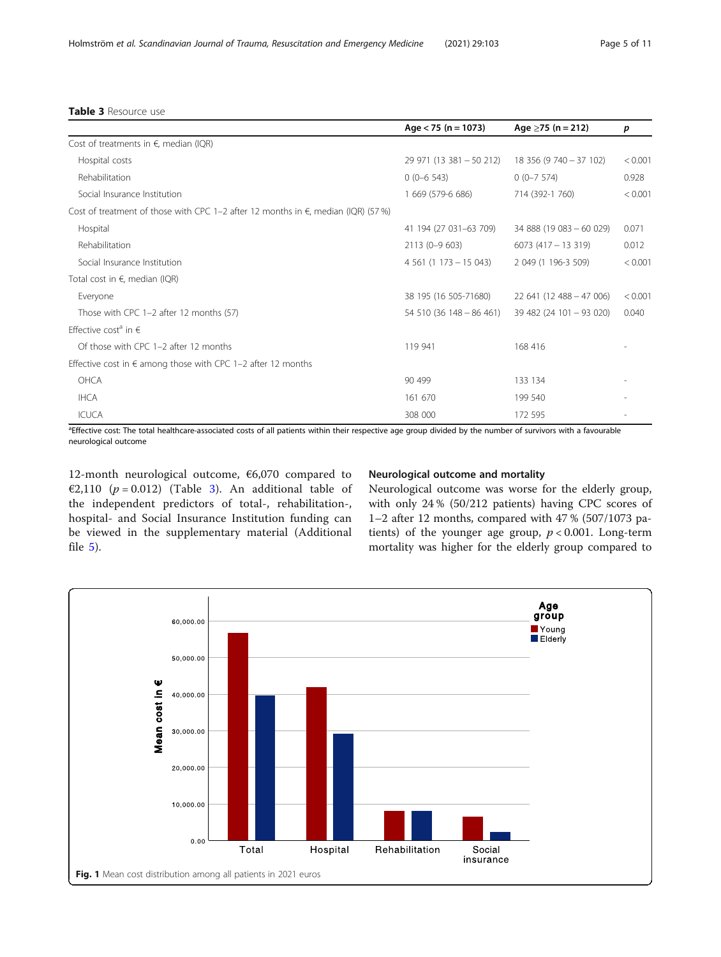## <span id="page-4-0"></span>Table 3 Resource use

|                                                                                             | Age $<$ 75 (n = 1073)    | Age $\geq$ 75 (n = 212)  | p       |
|---------------------------------------------------------------------------------------------|--------------------------|--------------------------|---------|
| Cost of treatments in $\epsilon$ , median (IQR)                                             |                          |                          |         |
| Hospital costs                                                                              | 29 971 (13 381 - 50 212) | 18 356 (9 740 - 37 102)  | < 0.001 |
| Rehabilitation                                                                              | $0(0-6543)$              | $0(0-7574)$              | 0.928   |
| Social Insurance Institution                                                                | 1 669 (579-6 686)        | 714 (392-1 760)          | < 0.001 |
| Cost of treatment of those with CPC 1-2 after 12 months in $\epsilon$ , median (IQR) (57 %) |                          |                          |         |
| Hospital                                                                                    | 41 194 (27 031-63 709)   | 34 888 (19 083 - 60 029) | 0.071   |
| Rehabilitation                                                                              | 2113 (0-9 603)           | $6073(417 - 13319)$      | 0.012   |
| Social Insurance Institution                                                                | $4\,561(1\,173-15\,043)$ | 2 049 (1 196-3 509)      | < 0.001 |
| Total cost in $\epsilon$ , median (IQR)                                                     |                          |                          |         |
| Everyone                                                                                    | 38 195 (16 505-71680)    | $22641(12488 - 47006)$   | < 0.001 |
| Those with CPC 1-2 after 12 months (57)                                                     | $54510(36148-86461)$     | 39 482 (24 101 - 93 020) | 0.040   |
| Effective cost <sup>a</sup> in $\in$                                                        |                          |                          |         |
| Of those with CPC 1-2 after 12 months                                                       | 119 941                  | 168 416                  |         |
| Effective cost in $\epsilon$ among those with CPC 1-2 after 12 months                       |                          |                          |         |
| OHCA                                                                                        | 90 499                   | 133 134                  |         |
| <b>IHCA</b>                                                                                 | 161 670                  | 199 540                  |         |
| <b>ICUCA</b>                                                                                | 308 000                  | 172 595                  |         |

<sup>a</sup>Effective cost: The total healthcare-associated costs of all patients within their respective age group divided by the number of survivors with a favourable neurological outcome

12-month neurological outcome, €6,070 compared to €2,110 ( $p = 0.012$ ) (Table 3). An additional table of the independent predictors of total-, rehabilitation-, hospital- and Social Insurance Institution funding can be viewed in the supplementary material (Additional file [5](#page-8-0)).

## Neurological outcome and mortality

Neurological outcome was worse for the elderly group, with only 24 % (50/212 patients) having CPC scores of 1–2 after 12 months, compared with 47 % (507/1073 patients) of the younger age group,  $p < 0.001$ . Long-term mortality was higher for the elderly group compared to

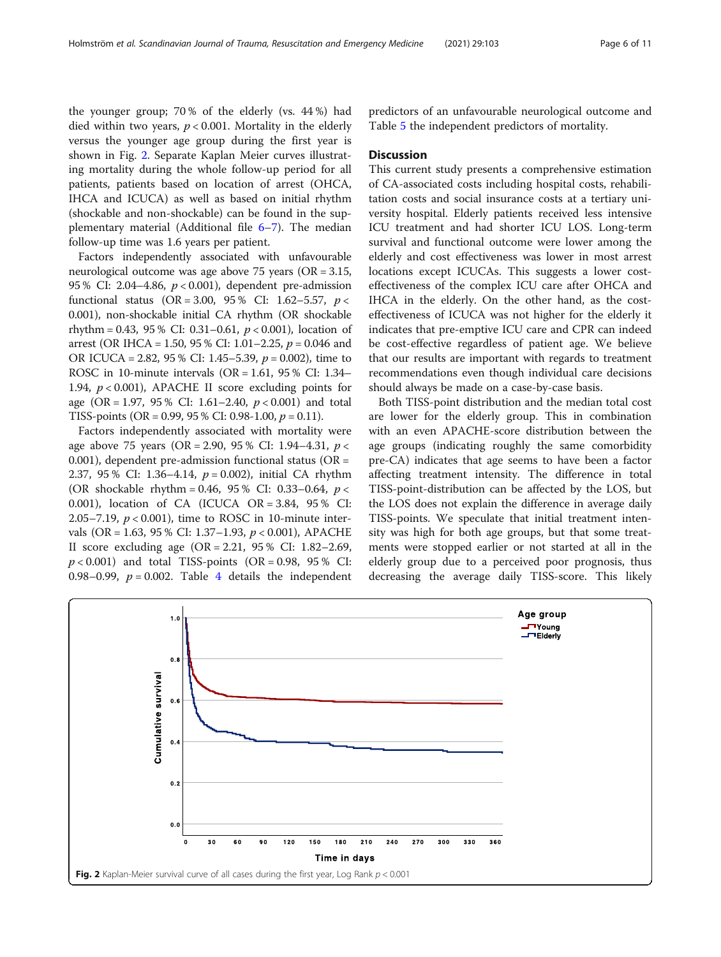the younger group; 70 % of the elderly (vs. 44 %) had died within two years,  $p < 0.001$ . Mortality in the elderly versus the younger age group during the first year is shown in Fig. 2. Separate Kaplan Meier curves illustrating mortality during the whole follow-up period for all patients, patients based on location of arrest (OHCA, IHCA and ICUCA) as well as based on initial rhythm (shockable and non-shockable) can be found in the supplementary material (Additional file [6](#page-8-0)–[7](#page-8-0)). The median follow-up time was 1.6 years per patient.

Factors independently associated with unfavourable neurological outcome was age above 75 years (OR = 3.15, 95 % CI: 2.04–4.86,  $p < 0.001$ ), dependent pre-admission functional status (OR = 3.00, 95 % CI: 1.62–5.57,  $p <$ 0.001), non-shockable initial CA rhythm (OR shockable rhythm = 0.43, 95 % CI: 0.31–0.61,  $p < 0.001$ ), location of arrest (OR IHCA = 1.50, 95 % CI: 1.01–2.25,  $p = 0.046$  and OR ICUCA = 2.82, 95 % CI: 1.45–5.39,  $p = 0.002$ ), time to ROSC in 10-minute intervals (OR =  $1.61$ , 95 % CI:  $1.34-$ 1.94,  $p < 0.001$ ), APACHE II score excluding points for age (OR = 1.97, 95 % CI: 1.61–2.40,  $p < 0.001$ ) and total TISS-points (OR = 0.99, 95 % CI: 0.98-1.00,  $p = 0.11$ ).

Factors independently associated with mortality were age above 75 years (OR = 2.90, 95 % CI: 1.94–4.31,  $p <$ 0.001), dependent pre-admission functional status ( $OR =$ 2.37, 95 % CI: 1.36–4.14, p = 0.002), initial CA rhythm (OR shockable rhythm = 0.46, 95 % CI: 0.33–0.64,  $p <$ 0.001), location of CA (ICUCA OR = 3.84, 95 % CI: 2.05–7.19,  $p < 0.001$ ), time to ROSC in 10-minute intervals (OR = 1.63, 95 % CI: 1.37–1.93,  $p < 0.001$ ), APACHE II score excluding age (OR = 2.21, 95 % CI: 1.82–2.69,  $p < 0.001$ ) and total TISS-points (OR = 0.98, 95 % CI: 0.98–0.99,  $p = 0.002$ . Table [4](#page-6-0) details the independent predictors of an unfavourable neurological outcome and Table [5](#page-6-0) the independent predictors of mortality.

#### **Discussion**

This current study presents a comprehensive estimation of CA-associated costs including hospital costs, rehabilitation costs and social insurance costs at a tertiary university hospital. Elderly patients received less intensive ICU treatment and had shorter ICU LOS. Long-term survival and functional outcome were lower among the elderly and cost effectiveness was lower in most arrest locations except ICUCAs. This suggests a lower costeffectiveness of the complex ICU care after OHCA and IHCA in the elderly. On the other hand, as the costeffectiveness of ICUCA was not higher for the elderly it indicates that pre-emptive ICU care and CPR can indeed be cost-effective regardless of patient age. We believe that our results are important with regards to treatment recommendations even though individual care decisions should always be made on a case-by-case basis.

Both TISS-point distribution and the median total cost are lower for the elderly group. This in combination with an even APACHE-score distribution between the age groups (indicating roughly the same comorbidity pre-CA) indicates that age seems to have been a factor affecting treatment intensity. The difference in total TISS-point-distribution can be affected by the LOS, but the LOS does not explain the difference in average daily TISS-points. We speculate that initial treatment intensity was high for both age groups, but that some treatments were stopped earlier or not started at all in the elderly group due to a perceived poor prognosis, thus decreasing the average daily TISS-score. This likely

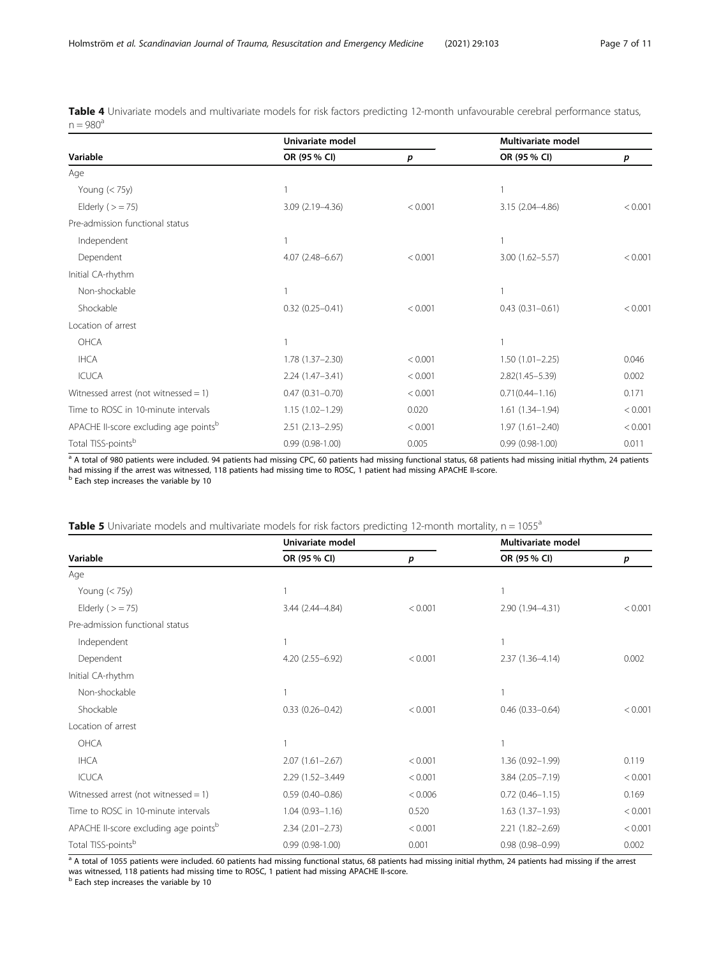<span id="page-6-0"></span>Table 4 Univariate models and multivariate models for risk factors predicting 12-month unfavourable cerebral performance status,  $n = 980^a$ 

|                                                   | Univariate model    |         | Multivariate model  |         |
|---------------------------------------------------|---------------------|---------|---------------------|---------|
| Variable                                          | OR (95 % CI)        | p       | OR (95 % CI)        | p       |
| Age                                               |                     |         |                     |         |
| Young $(< 75y)$                                   |                     |         |                     |         |
| Elderly ( $>$ = 75)                               | 3.09 (2.19-4.36)    | < 0.001 | 3.15 (2.04-4.86)    | < 0.001 |
| Pre-admission functional status                   |                     |         |                     |         |
| Independent                                       |                     |         |                     |         |
| Dependent                                         | $4.07(2.48 - 6.67)$ | < 0.001 | 3.00 (1.62-5.57)    | < 0.001 |
| Initial CA-rhythm                                 |                     |         |                     |         |
| Non-shockable                                     |                     |         |                     |         |
| Shockable                                         | $0.32(0.25 - 0.41)$ | < 0.001 | $0.43(0.31 - 0.61)$ | < 0.001 |
| Location of arrest                                |                     |         |                     |         |
| OHCA                                              |                     |         |                     |         |
| <b>IHCA</b>                                       | $1.78(1.37 - 2.30)$ | < 0.001 | $1.50(1.01 - 2.25)$ | 0.046   |
| <b>ICUCA</b>                                      | $2.24(1.47-3.41)$   | < 0.001 | $2.82(1.45 - 5.39)$ | 0.002   |
| Witnessed arrest (not witnessed = $1$ )           | $0.47(0.31 - 0.70)$ | < 0.001 | $0.71(0.44 - 1.16)$ | 0.171   |
| Time to ROSC in 10-minute intervals               | $1.15(1.02 - 1.29)$ | 0.020   | 1.61 (1.34-1.94)    | < 0.001 |
| APACHE II-score excluding age points <sup>b</sup> | $2.51(2.13 - 2.95)$ | < 0.001 | $1.97(1.61 - 2.40)$ | < 0.001 |
| Total TISS-points <sup>b</sup>                    | $0.99(0.98-1.00)$   | 0.005   | $0.99(0.98-1.00)$   | 0.011   |

a A total of 980 patients were included. 94 patients had missing CPC, 60 patients had missing functional status, 68 patients had missing initial rhythm, 24 patients had missing if the arrest was witnessed, 118 patients had missing time to ROSC, 1 patient had missing APACHE II-score.<br><sup>b</sup> Each step increases the variable by 10

| Table 5 Univariate models and multivariate models for risk factors predicting 12-month mortality, n = 1055 <sup>°</sup> |  |  |
|-------------------------------------------------------------------------------------------------------------------------|--|--|
|-------------------------------------------------------------------------------------------------------------------------|--|--|

|                                                   | Univariate model    |         | Multivariate model     |         |
|---------------------------------------------------|---------------------|---------|------------------------|---------|
| Variable                                          | OR (95 % CI)        | р       | OR (95 % CI)           | p       |
| Age                                               |                     |         |                        |         |
| Young $(< 75y)$                                   |                     |         |                        |         |
| Elderly ( $>$ = 75)                               | 3.44 (2.44-4.84)    | < 0.001 | 2.90 (1.94-4.31)       | < 0.001 |
| Pre-admission functional status                   |                     |         |                        |         |
| Independent                                       |                     |         |                        |         |
| Dependent                                         | 4.20 (2.55-6.92)    | < 0.001 | $2.37(1.36 - 4.14)$    | 0.002   |
| Initial CA-rhythm                                 |                     |         |                        |         |
| Non-shockable                                     |                     |         |                        |         |
| Shockable                                         | $0.33(0.26 - 0.42)$ | < 0.001 | $0.46$ $(0.33 - 0.64)$ | < 0.001 |
| Location of arrest                                |                     |         |                        |         |
| OHCA                                              |                     |         |                        |         |
| <b>IHCA</b>                                       | $2.07(1.61 - 2.67)$ | < 0.001 | $1.36(0.92 - 1.99)$    | 0.119   |
| <b>ICUCA</b>                                      | 2.29 (1.52-3.449)   | < 0.001 | $3.84(2.05 - 7.19)$    | < 0.001 |
| Witnessed arrest (not witnessed = $1$ )           | $0.59(0.40 - 0.86)$ | < 0.006 | $0.72$ $(0.46 - 1.15)$ | 0.169   |
| Time to ROSC in 10-minute intervals               | $1.04(0.93 - 1.16)$ | 0.520   | $1.63(1.37-1.93)$      | < 0.001 |
| APACHE II-score excluding age points <sup>b</sup> | $2.34(2.01 - 2.73)$ | < 0.001 | $2.21(1.82 - 2.69)$    | < 0.001 |
| Total TISS-points <sup>b</sup>                    | $0.99(0.98-1.00)$   | 0.001   | $0.98(0.98 - 0.99)$    | 0.002   |

a A total of 1055 patients were included. 60 patients had missing functional status, 68 patients had missing initial rhythm, 24 patients had missing if the arrest was witnessed, 118 patients had missing time to ROSC, 1 patient had missing APACHE II-score.<br><sup>b</sup> Each step increases the variable by 10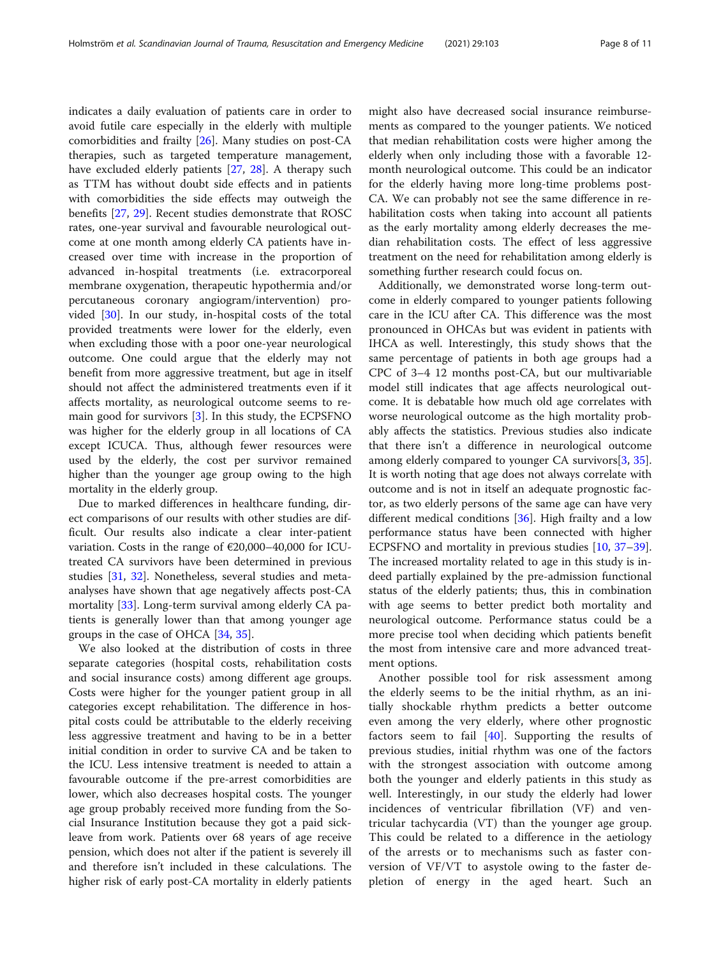indicates a daily evaluation of patients care in order to avoid futile care especially in the elderly with multiple comorbidities and frailty [[26\]](#page-9-0). Many studies on post-CA therapies, such as targeted temperature management, have excluded elderly patients [[27](#page-9-0), [28\]](#page-9-0). A therapy such as TTM has without doubt side effects and in patients with comorbidities the side effects may outweigh the benefits [[27,](#page-9-0) [29](#page-9-0)]. Recent studies demonstrate that ROSC rates, one-year survival and favourable neurological outcome at one month among elderly CA patients have increased over time with increase in the proportion of advanced in-hospital treatments (i.e. extracorporeal membrane oxygenation, therapeutic hypothermia and/or percutaneous coronary angiogram/intervention) provided [[30](#page-9-0)]. In our study, in-hospital costs of the total provided treatments were lower for the elderly, even when excluding those with a poor one-year neurological outcome. One could argue that the elderly may not benefit from more aggressive treatment, but age in itself should not affect the administered treatments even if it affects mortality, as neurological outcome seems to remain good for survivors [\[3](#page-9-0)]. In this study, the ECPSFNO was higher for the elderly group in all locations of CA except ICUCA. Thus, although fewer resources were used by the elderly, the cost per survivor remained higher than the younger age group owing to the high mortality in the elderly group.

Due to marked differences in healthcare funding, direct comparisons of our results with other studies are difficult. Our results also indicate a clear inter-patient variation. Costs in the range of €20,000–40,000 for ICUtreated CA survivors have been determined in previous studies [\[31,](#page-9-0) [32](#page-9-0)]. Nonetheless, several studies and metaanalyses have shown that age negatively affects post-CA mortality [\[33\]](#page-9-0). Long-term survival among elderly CA patients is generally lower than that among younger age groups in the case of OHCA [[34,](#page-9-0) [35\]](#page-9-0).

We also looked at the distribution of costs in three separate categories (hospital costs, rehabilitation costs and social insurance costs) among different age groups. Costs were higher for the younger patient group in all categories except rehabilitation. The difference in hospital costs could be attributable to the elderly receiving less aggressive treatment and having to be in a better initial condition in order to survive CA and be taken to the ICU. Less intensive treatment is needed to attain a favourable outcome if the pre-arrest comorbidities are lower, which also decreases hospital costs. The younger age group probably received more funding from the Social Insurance Institution because they got a paid sickleave from work. Patients over 68 years of age receive pension, which does not alter if the patient is severely ill and therefore isn't included in these calculations. The higher risk of early post-CA mortality in elderly patients might also have decreased social insurance reimbursements as compared to the younger patients. We noticed that median rehabilitation costs were higher among the elderly when only including those with a favorable 12 month neurological outcome. This could be an indicator for the elderly having more long-time problems post-CA. We can probably not see the same difference in rehabilitation costs when taking into account all patients as the early mortality among elderly decreases the median rehabilitation costs. The effect of less aggressive treatment on the need for rehabilitation among elderly is something further research could focus on.

Additionally, we demonstrated worse long-term outcome in elderly compared to younger patients following care in the ICU after CA. This difference was the most pronounced in OHCAs but was evident in patients with IHCA as well. Interestingly, this study shows that the same percentage of patients in both age groups had a CPC of 3–4 12 months post-CA, but our multivariable model still indicates that age affects neurological outcome. It is debatable how much old age correlates with worse neurological outcome as the high mortality probably affects the statistics. Previous studies also indicate that there isn't a difference in neurological outcome among elderly compared to younger CA survivors[\[3](#page-9-0), [35](#page-9-0)]. It is worth noting that age does not always correlate with outcome and is not in itself an adequate prognostic factor, as two elderly persons of the same age can have very different medical conditions [[36\]](#page-9-0). High frailty and a low performance status have been connected with higher ECPSFNO and mortality in previous studies [[10](#page-9-0), [37](#page-9-0)–[39](#page-9-0)]. The increased mortality related to age in this study is indeed partially explained by the pre-admission functional status of the elderly patients; thus, this in combination with age seems to better predict both mortality and neurological outcome. Performance status could be a more precise tool when deciding which patients benefit the most from intensive care and more advanced treatment options.

Another possible tool for risk assessment among the elderly seems to be the initial rhythm, as an initially shockable rhythm predicts a better outcome even among the very elderly, where other prognostic factors seem to fail  $[40]$  $[40]$ . Supporting the results of previous studies, initial rhythm was one of the factors with the strongest association with outcome among both the younger and elderly patients in this study as well. Interestingly, in our study the elderly had lower incidences of ventricular fibrillation (VF) and ventricular tachycardia (VT) than the younger age group. This could be related to a difference in the aetiology of the arrests or to mechanisms such as faster conversion of VF/VT to asystole owing to the faster depletion of energy in the aged heart. Such an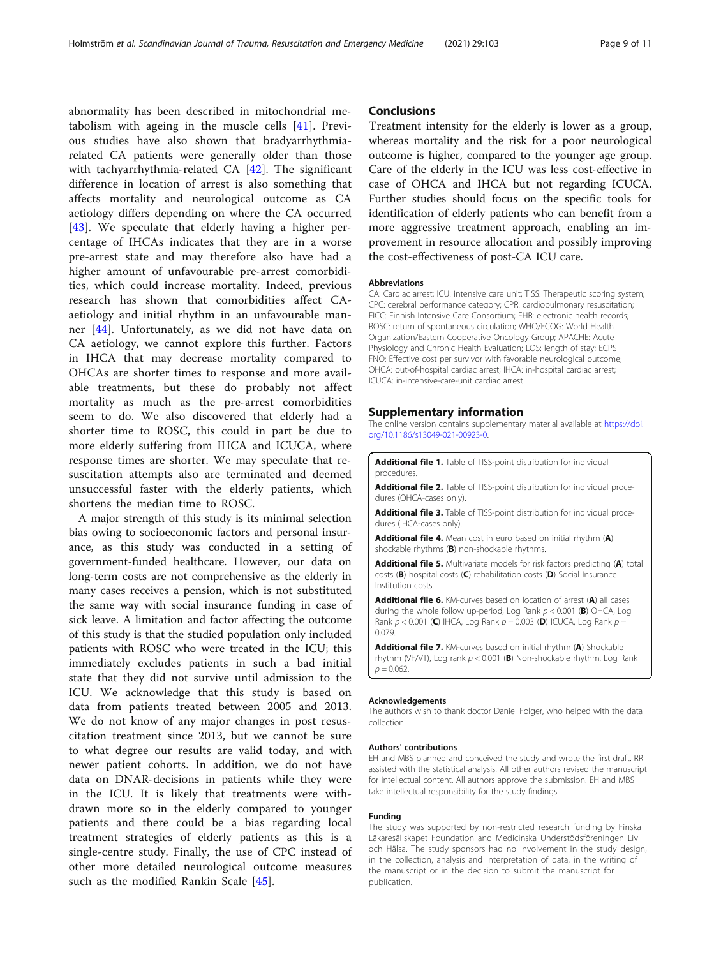<span id="page-8-0"></span>abnormality has been described in mitochondrial metabolism with ageing in the muscle cells [\[41](#page-10-0)]. Previous studies have also shown that bradyarrhythmiarelated CA patients were generally older than those with tachyarrhythmia-related CA [\[42](#page-10-0)]. The significant difference in location of arrest is also something that affects mortality and neurological outcome as CA aetiology differs depending on where the CA occurred [[43\]](#page-10-0). We speculate that elderly having a higher percentage of IHCAs indicates that they are in a worse pre-arrest state and may therefore also have had a higher amount of unfavourable pre-arrest comorbidities, which could increase mortality. Indeed, previous research has shown that comorbidities affect CAaetiology and initial rhythm in an unfavourable manner [[44\]](#page-10-0). Unfortunately, as we did not have data on CA aetiology, we cannot explore this further. Factors in IHCA that may decrease mortality compared to OHCAs are shorter times to response and more available treatments, but these do probably not affect mortality as much as the pre-arrest comorbidities seem to do. We also discovered that elderly had a shorter time to ROSC, this could in part be due to more elderly suffering from IHCA and ICUCA, where response times are shorter. We may speculate that resuscitation attempts also are terminated and deemed unsuccessful faster with the elderly patients, which shortens the median time to ROSC.

A major strength of this study is its minimal selection bias owing to socioeconomic factors and personal insurance, as this study was conducted in a setting of government-funded healthcare. However, our data on long-term costs are not comprehensive as the elderly in many cases receives a pension, which is not substituted the same way with social insurance funding in case of sick leave. A limitation and factor affecting the outcome of this study is that the studied population only included patients with ROSC who were treated in the ICU; this immediately excludes patients in such a bad initial state that they did not survive until admission to the ICU. We acknowledge that this study is based on data from patients treated between 2005 and 2013. We do not know of any major changes in post resuscitation treatment since 2013, but we cannot be sure to what degree our results are valid today, and with newer patient cohorts. In addition, we do not have data on DNAR-decisions in patients while they were in the ICU. It is likely that treatments were withdrawn more so in the elderly compared to younger patients and there could be a bias regarding local treatment strategies of elderly patients as this is a single-centre study. Finally, the use of CPC instead of other more detailed neurological outcome measures such as the modified Rankin Scale [\[45](#page-10-0)].

## **Conclusions**

Treatment intensity for the elderly is lower as a group, whereas mortality and the risk for a poor neurological outcome is higher, compared to the younger age group. Care of the elderly in the ICU was less cost-effective in case of OHCA and IHCA but not regarding ICUCA. Further studies should focus on the specific tools for identification of elderly patients who can benefit from a more aggressive treatment approach, enabling an improvement in resource allocation and possibly improving the cost-effectiveness of post-CA ICU care.

#### Abbreviations

CA: Cardiac arrest; ICU: intensive care unit; TISS: Therapeutic scoring system; CPC: cerebral performance category; CPR: cardiopulmonary resuscitation; FICC: Finnish Intensive Care Consortium; EHR: electronic health records; ROSC: return of spontaneous circulation; WHO/ECOG: World Health Organization/Eastern Cooperative Oncology Group; APACHE: Acute Physiology and Chronic Health Evaluation; LOS: length of stay; ECPS FNO: Effective cost per survivor with favorable neurological outcome; OHCA: out-of-hospital cardiac arrest; IHCA: in-hospital cardiac arrest; ICUCA: in-intensive-care-unit cardiac arrest

#### Supplementary information

The online version contains supplementary material available at [https://doi.](https://doi.org/10.1186/s13049-021-00923-0) [org/10.1186/s13049-021-00923-0.](https://doi.org/10.1186/s13049-021-00923-0)

Additional file 1. Table of TISS-point distribution for individual procedures.

Additional file 2. Table of TISS-point distribution for individual procedures (OHCA-cases only).

Additional file 3. Table of TISS-point distribution for individual procedures (IHCA-cases only).

Additional file 4. Mean cost in euro based on initial rhythm (A) shockable rhythms (B) non-shockable rhythms.

Additional file 5. Multivariate models for risk factors predicting (A) total costs (B) hospital costs (C) rehabilitation costs (D) Social Insurance Institution costs.

Additional file 6. KM-curves based on location of arrest (A) all cases during the whole follow up-period, Log Rank  $p < 0.001$  (B) OHCA, Log Rank  $p < 0.001$  (C) IHCA, Log Rank  $p = 0.003$  (D) ICUCA, Log Rank  $p =$ 0.079.

Additional file 7. KM-curves based on initial rhythm (A) Shockable rhythm (VF/VT), Log rank  $p < 0.001$  (B) Non-shockable rhythm, Log Rank  $p = 0.062$ .

#### Acknowledgements

The authors wish to thank doctor Daniel Folger, who helped with the data collection.

#### Authors' contributions

EH and MBS planned and conceived the study and wrote the first draft. RR assisted with the statistical analysis. All other authors revised the manuscript for intellectual content. All authors approve the submission. EH and MBS take intellectual responsibility for the study findings.

#### Funding

The study was supported by non-restricted research funding by Finska Läkaresällskapet Foundation and Medicinska Understödsföreningen Liv och Hälsa. The study sponsors had no involvement in the study design, in the collection, analysis and interpretation of data, in the writing of the manuscript or in the decision to submit the manuscript for publication.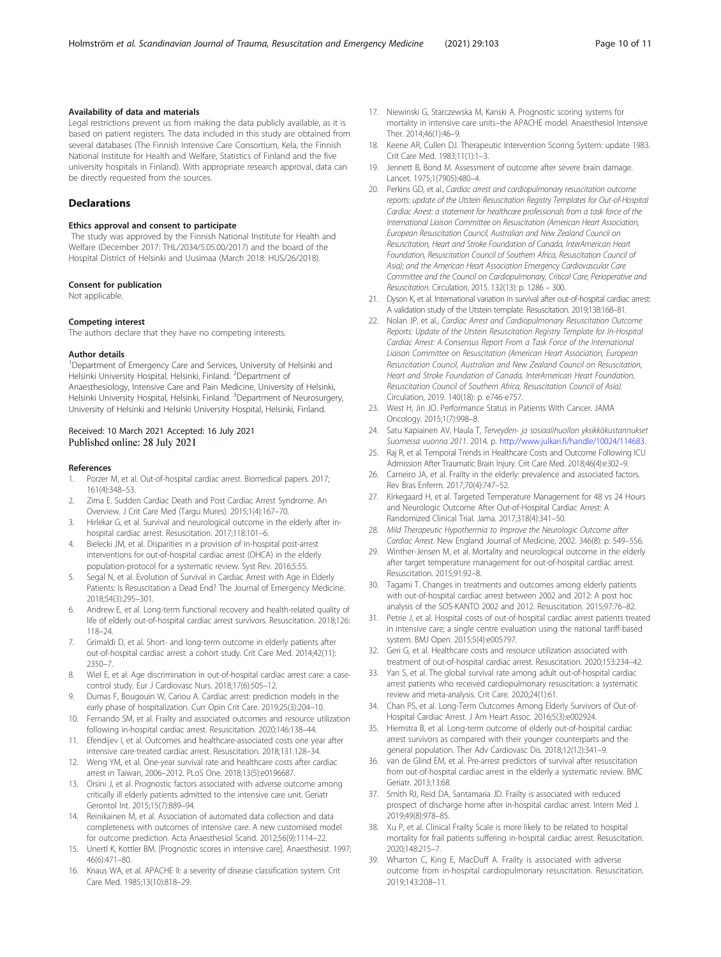#### <span id="page-9-0"></span>Availability of data and materials

Legal restrictions prevent us from making the data publicly available, as it is based on patient registers. The data included in this study are obtained from several databases (The Finnish Intensive Care Consortium, Kela, the Finnish National Institute for Health and Welfare, Statistics of Finland and the five university hospitals in Finland). With appropriate research approval, data can be directly requested from the sources.

#### **Declarations**

#### Ethics approval and consent to participate

The study was approved by the Finnish National Institute for Health and Welfare (December 2017: THL/2034/5.05.00/2017) and the board of the Hospital District of Helsinki and Uusimaa (March 2018: HUS/26/2018).

#### Consent for publication

Not applicable.

#### Competing interest

The authors declare that they have no competing interests.

#### Author details

<sup>1</sup>Department of Emergency Care and Services, University of Helsinki and Helsinki University Hospital, Helsinki, Finland. <sup>2</sup>Department of Anaesthesiology, Intensive Care and Pain Medicine, University of Helsinki, Helsinki University Hospital, Helsinki, Finland. <sup>3</sup>Department of Neurosurgery, University of Helsinki and Helsinki University Hospital, Helsinki, Finland.

#### Received: 10 March 2021 Accepted: 16 July 2021 Published online: 28 July 2021

#### References

- 1. Porzer M, et al. Out-of-hospital cardiac arrest. Biomedical papers. 2017; 161(4):348–53.
- 2. Zima E. Sudden Cardiac Death and Post Cardiac Arrest Syndrome. An Overview. J Crit Care Med (Targu Mures). 2015;1(4):167–70.
- 3. Hirlekar G, et al. Survival and neurological outcome in the elderly after inhospital cardiac arrest. Resuscitation. 2017;118:101–6.
- 4. Bielecki JM, et al. Disparities in a provision of in-hospital post-arrest interventions for out-of-hospital cardiac arrest (OHCA) in the elderly population-protocol for a systematic review. Syst Rev. 2016;5:55.
- 5. Segal N, et al. Evolution of Survival in Cardiac Arrest with Age in Elderly Patients: Is Resuscitation a Dead End? The Journal of Emergency Medicine. 2018;54(3):295–301.
- 6. Andrew E, et al. Long-term functional recovery and health-related quality of life of elderly out-of-hospital cardiac arrest survivors. Resuscitation. 2018;126: 118–24.
- 7. Grimaldi D, et al. Short- and long-term outcome in elderly patients after out-of-hospital cardiac arrest: a cohort study. Crit Care Med. 2014;42(11): 2350–7.
- 8. Wiel E, et al. Age discrimination in out-of-hospital cardiac arrest care: a casecontrol study. Eur J Cardiovasc Nurs. 2018;17(6):505–12.
- 9. Dumas F, Bougouin W, Cariou A. Cardiac arrest: prediction models in the early phase of hospitalization. Curr Opin Crit Care. 2019;25(3):204–10.
- 10. Fernando SM, et al. Frailty and associated outcomes and resource utilization following in-hospital cardiac arrest. Resuscitation. 2020;146:138–44.
- 11. Efendijev I, et al. Outcomes and healthcare-associated costs one year after intensive care-treated cardiac arrest. Resuscitation. 2018;131:128–34.
- 12. Weng YM, et al. One-year survival rate and healthcare costs after cardiac arrest in Taiwan, 2006–2012. PLoS One. 2018;13(5):e0196687.
- 13. Orsini J, et al. Prognostic factors associated with adverse outcome among critically ill elderly patients admitted to the intensive care unit. Geriatr Gerontol Int. 2015;15(7):889–94.
- 14. Reinikainen M, et al. Association of automated data collection and data completeness with outcomes of intensive care. A new customised model for outcome prediction. Acta Anaesthesiol Scand. 2012;56(9):1114–22.
- 15. Unertl K, Kottler BM. [Prognostic scores in intensive care]. Anaesthesist. 1997; 46(6):471–80.
- 16. Knaus WA, et al. APACHE II: a severity of disease classification system. Crit Care Med. 1985;13(10):818–29.
- 17. Niewinski G, Starczewska M, Kanski A. Prognostic scoring systems for mortality in intensive care units–the APACHE model. Anaesthesiol Intensive Ther. 2014;46(1):46–9.
- 18. Keene AR, Cullen DJ. Therapeutic Intervention Scoring System: update 1983. Crit Care Med. 1983;11(1):1–3.
- 19. Jennett B, Bond M. Assessment of outcome after severe brain damage. Lancet. 1975;1(7905):480–4.
- 20. Perkins GD, et al., Cardiac arrest and cardiopulmonary resuscitation outcome reports: update of the Utstein Resuscitation Registry Templates for Out-of-Hospital Cardiac Arrest: a statement for healthcare professionals from a task force of the International Liaison Committee on Resuscitation (American Heart Association, European Resuscitation Council, Australian and New Zealand Council on Resuscitation, Heart and Stroke Foundation of Canada, InterAmerican Heart Foundation, Resuscitation Council of Southern Africa, Resuscitation Council of Asia); and the American Heart Association Emergency Cardiovascular Care Committee and the Council on Cardiopulmonary, Critical Care, Perioperative and Resuscitation. Circulation, 2015. 132(13): p. 1286 – 300.
- 21. Dyson K, et al. International variation in survival after out-of-hospital cardiac arrest: A validation study of the Utstein template. Resuscitation. 2019;138:168–81.
- 22. Nolan JP, et al., Cardiac Arrest and Cardiopulmonary Resuscitation Outcome Reports: Update of the Utstein Resuscitation Registry Template for In-Hospital Cardiac Arrest: A Consensus Report From a Task Force of the International Liaison Committee on Resuscitation (American Heart Association, European Resuscitation Council, Australian and New Zealand Council on Resuscitation, Heart and Stroke Foundation of Canada, InterAmerican Heart Foundation, Resuscitation Council of Southern Africa, Resuscitation Council of Asia). Circulation, 2019. 140(18): p. e746-e757.
- 23. West H, Jin JO. Performance Status in Patients With Cancer. JAMA Oncology. 2015;1(7):998–8.
- 24. Satu Kapiainen AV, Haula T, Terveyden- ja sosiaalihuollon yksikkökustannukset Suomessa vuonna 2011. 2014. p. [http://www.julkari.fi/handle/10024/114683.](http://www.julkari.fi/handle/10024/114683)
- 25. Raj R, et al. Temporal Trends in Healthcare Costs and Outcome Following ICU Admission After Traumatic Brain Injury. Crit Care Med. 2018;46(4):e302–9.
- 26. Carneiro JA, et al. Frailty in the elderly: prevalence and associated factors. Rev Bras Enferm. 2017;70(4):747–52.
- 27. Kirkegaard H, et al. Targeted Temperature Management for 48 vs 24 Hours and Neurologic Outcome After Out-of-Hospital Cardiac Arrest: A Randomized Clinical Trial. Jama. 2017;318(4):341–50.
- 28. Mild Therapeutic Hypothermia to Improve the Neurologic Outcome after Cardiac Arrest. New England Journal of Medicine, 2002. 346(8): p. 549–556.
- 29. Winther-Jensen M, et al. Mortality and neurological outcome in the elderly after target temperature management for out-of-hospital cardiac arrest. Resuscitation. 2015;91:92–8.
- 30. Tagami T. Changes in treatments and outcomes among elderly patients with out-of-hospital cardiac arrest between 2002 and 2012: A post hoc analysis of the SOS-KANTO 2002 and 2012. Resuscitation. 2015;97:76–82.
- 31. Petrie J, et al. Hospital costs of out-of-hospital cardiac arrest patients treated in intensive care; a single centre evaluation using the national tariff-based system. BMJ Open. 2015;5(4):e005797.
- 32. Geri G, et al. Healthcare costs and resource utilization associated with treatment of out-of-hospital cardiac arrest. Resuscitation. 2020;153:234–42.
- 33. Yan S, et al. The global survival rate among adult out-of-hospital cardiac arrest patients who received cardiopulmonary resuscitation: a systematic review and meta-analysis. Crit Care. 2020;24(1):61.
- 34. Chan PS, et al. Long-Term Outcomes Among Elderly Survivors of Out-of-Hospital Cardiac Arrest. J Am Heart Assoc. 2016;5(3):e002924.
- 35. Hiemstra B, et al. Long-term outcome of elderly out-of-hospital cardiac arrest survivors as compared with their younger counterparts and the general population. Ther Adv Cardiovasc Dis. 2018;12(12):341–9.
- 36. van de Glind EM, et al. Pre-arrest predictors of survival after resuscitation from out-of-hospital cardiac arrest in the elderly a systematic review. BMC Geriatr. 2013;13:68.
- 37. Smith RJ, Reid DA, Santamaria JD. Frailty is associated with reduced prospect of discharge home after in-hospital cardiac arrest. Intern Med J. 2019;49(8):978–85.
- 38. Xu P, et al. Clinical Frailty Scale is more likely to be related to hospital mortality for frail patients suffering in-hospital cardiac arrest. Resuscitation. 2020;148:215–7.
- 39. Wharton C, King E, MacDuff A. Frailty is associated with adverse outcome from in-hospital cardiopulmonary resuscitation. Resuscitation. 2019;143:208–11.